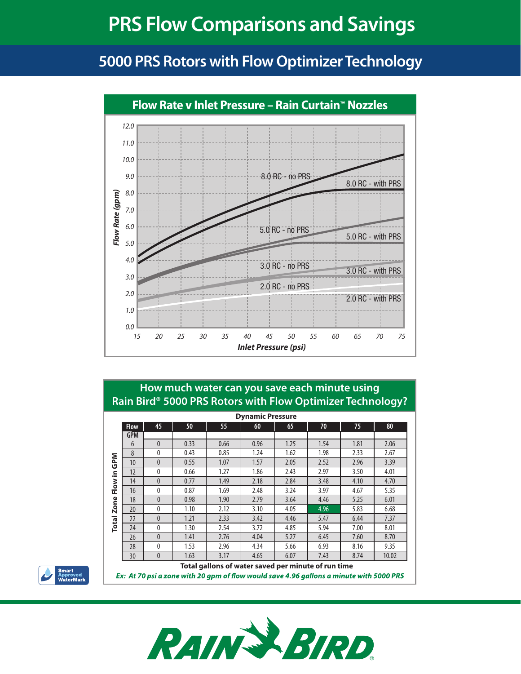# **PRS Flow Comparisons and Savings**

## **5000 PRS Rotors with Flow OptimizerTechnology**



#### **How much water can you save each minute using Rain Bird® 5000 PRS Rotors with Flow Optimizer Technology?**

| <b>Dynamic Pressure</b>                                                                 |             |              |      |      |      |      |      |      |       |  |
|-----------------------------------------------------------------------------------------|-------------|--------------|------|------|------|------|------|------|-------|--|
|                                                                                         | <b>Flow</b> | 45           | 50   | 55   | 60   | 65   | 70   | 75   | 80    |  |
| <b>GPM</b><br>≘.<br>Flow<br>Zone<br><b>Total</b>                                        | <b>GPM</b>  |              |      |      |      |      |      |      |       |  |
|                                                                                         | 6           | $\mathbf{0}$ | 0.33 | 0.66 | 0.96 | 1.25 | 1.54 | 1.81 | 2.06  |  |
|                                                                                         | 8           | 0            | 0.43 | 0.85 | 1.24 | 1.62 | 1.98 | 2.33 | 2.67  |  |
|                                                                                         | 10          | $\mathbf{0}$ | 0.55 | 1.07 | 1.57 | 2.05 | 2.52 | 2.96 | 3.39  |  |
|                                                                                         | 12          | 0            | 0.66 | 1.27 | 1.86 | 2.43 | 2.97 | 3.50 | 4.01  |  |
|                                                                                         | 14          | $\mathbf{0}$ | 0.77 | 1.49 | 2.18 | 2.84 | 3.48 | 4.10 | 4.70  |  |
|                                                                                         | 16          | 0            | 0.87 | 1.69 | 2.48 | 3.24 | 3.97 | 4.67 | 5.35  |  |
|                                                                                         | 18          | $\mathbf{0}$ | 0.98 | 1.90 | 2.79 | 3.64 | 4.46 | 5.25 | 6.01  |  |
|                                                                                         | 20          | 0            | 1.10 | 2.12 | 3.10 | 4.05 | 4.96 | 5.83 | 6.68  |  |
|                                                                                         | 22          | $\mathbf{0}$ | 1.21 | 2.33 | 3.42 | 4.46 | 5.47 | 6.44 | 7.37  |  |
|                                                                                         | 24          | 0            | 1.30 | 2.54 | 3.72 | 4.85 | 5.94 | 7.00 | 8.01  |  |
|                                                                                         | 26          | $\mathbf{0}$ | 1.41 | 2.76 | 4.04 | 5.27 | 6.45 | 7.60 | 8.70  |  |
|                                                                                         | 28          | $\mathbf{0}$ | 1.53 | 2.96 | 4.34 | 5.66 | 6.93 | 8.16 | 9.35  |  |
|                                                                                         | 30          | $\mathbf{0}$ | 1.63 | 3.17 | 4.65 | 6.07 | 7.43 | 8.74 | 10.02 |  |
| Total gallons of water saved per minute of run time                                     |             |              |      |      |      |      |      |      |       |  |
| Ex: At 70 psi a zone with 20 apm of flow would save 4.96 gallons a minute with 5000 PRS |             |              |      |      |      |      |      |      |       |  |